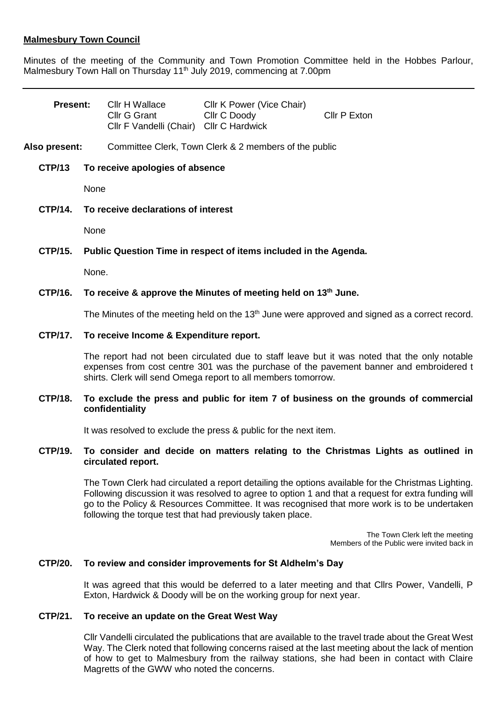# **Malmesbury Town Council**

Minutes of the meeting of the Community and Town Promotion Committee held in the Hobbes Parlour, Malmesbury Town Hall on Thursday 11<sup>th</sup> July 2019, commencing at 7.00pm

| <b>Present:</b> |                                                                            | Cllr H Wallace<br>Cllr G Grant<br>Cllr F Vandelli (Chair) Cllr C Hardwick | Cllr K Power (Vice Chair)<br>Cllr C Doody | Cllr P Exton |
|-----------------|----------------------------------------------------------------------------|---------------------------------------------------------------------------|-------------------------------------------|--------------|
| Also present:   |                                                                            | Committee Clerk, Town Clerk & 2 members of the public                     |                                           |              |
| <b>CTP/13</b>   | To receive apologies of absence                                            |                                                                           |                                           |              |
|                 | None                                                                       |                                                                           |                                           |              |
| CTP/14.         | To receive declarations of interest                                        |                                                                           |                                           |              |
|                 | None                                                                       |                                                                           |                                           |              |
| CTP/15.         | Public Question Time in respect of items included in the Agenda.           |                                                                           |                                           |              |
|                 | None.                                                                      |                                                                           |                                           |              |
| CTP/16.         | To receive & approve the Minutes of meeting held on 13 <sup>th</sup> June. |                                                                           |                                           |              |

The Minutes of the meeting held on the 13<sup>th</sup> June were approved and signed as a correct record.

### **CTP/17. To receive Income & Expenditure report.**

The report had not been circulated due to staff leave but it was noted that the only notable expenses from cost centre 301 was the purchase of the pavement banner and embroidered t shirts. Clerk will send Omega report to all members tomorrow.

### **CTP/18. To exclude the press and public for item 7 of business on the grounds of commercial confidentiality**

It was resolved to exclude the press & public for the next item.

### **CTP/19. To consider and decide on matters relating to the Christmas Lights as outlined in circulated report.**

The Town Clerk had circulated a report detailing the options available for the Christmas Lighting. Following discussion it was resolved to agree to option 1 and that a request for extra funding will go to the Policy & Resources Committee. It was recognised that more work is to be undertaken following the torque test that had previously taken place.

> The Town Clerk left the meeting Members of the Public were invited back in

#### **CTP/20. To review and consider improvements for St Aldhelm's Day**

It was agreed that this would be deferred to a later meeting and that Cllrs Power, Vandelli, P Exton, Hardwick & Doody will be on the working group for next year.

#### **CTP/21. To receive an update on the Great West Way**

Cllr Vandelli circulated the publications that are available to the travel trade about the Great West Way. The Clerk noted that following concerns raised at the last meeting about the lack of mention of how to get to Malmesbury from the railway stations, she had been in contact with Claire Magretts of the GWW who noted the concerns.